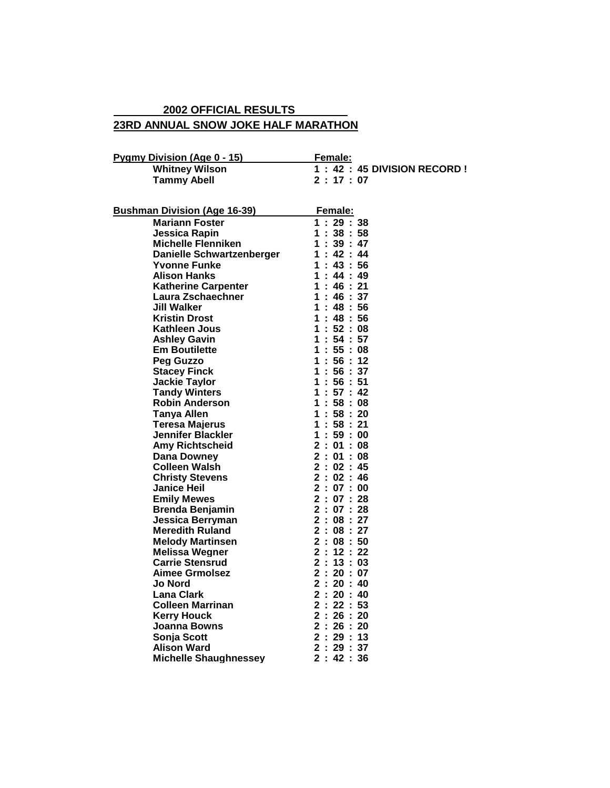## **23RD ANNUAL SNOW JOKE HALF MARATHON 2002 OFFICIAL RESULTS**

| Pygmy Division (Age 0 - 15)         | <b>Female:</b>                |
|-------------------------------------|-------------------------------|
| <b>Whitney Wilson</b>               | 1 : 42 : 45 DIVISION RECORD ! |
| Tammv Abell                         | 2:17:07                       |
| <b>Bushman Division (Age 16-39)</b> | Female:                       |
| <b>Mariann Foster</b>               | 1:29:38                       |
| Jessica Rapin                       | 1:38:58                       |
| <b>Michelle Flenniken</b>           | 1:39:47                       |
| Danielle Schwartzenberger           | 1:42:44                       |
| Yvonne Funke                        | 1:43:56                       |
| <b>Alison Hanks</b>                 | 1:44:49                       |
| <b>Katherine Carpenter</b>          | 1:46:21                       |
| Laura Zschaechner                   | 1:46:37                       |
| Jill Walker                         | 1:48:56                       |
| <b>Kristin Drost</b>                | 1:48:56                       |
| Kathleen Jous                       | 1:52:08                       |
| <b>Ashley Gavin</b>                 | 1:54:57                       |
| <b>Em Boutilette</b>                | 1:55:08                       |
|                                     | .                             |

| -unuu yur                    |                |                      | - 76                                                                                                                           | Ξ  |
|------------------------------|----------------|----------------------|--------------------------------------------------------------------------------------------------------------------------------|----|
| <b>Yvonne Funke</b>          |                |                      | 1:43:56                                                                                                                        |    |
| <b>Alison Hanks</b>          |                |                      | 1:44:49                                                                                                                        |    |
| <b>Katherine Carpenter</b>   |                | 1:                   | 46 : 21                                                                                                                        |    |
| Laura Zschaechner            |                | 1:                   | 46:37                                                                                                                          |    |
| Jill Walker                  |                | 1:                   | 48:56                                                                                                                          |    |
| <b>Kristin Drost</b>         | $\mathbf 1$    | ŧ,                   | 48:56                                                                                                                          |    |
| Kathleen Jous                |                |                      | 1:52:                                                                                                                          | 08 |
| <b>Ashley Gavin</b>          |                |                      | 1:54:57                                                                                                                        |    |
| <b>Em Boutilette</b>         |                |                      | 1:55:08                                                                                                                        |    |
| Peg Guzzo                    |                |                      | 1:56:12                                                                                                                        |    |
| <b>Stacey Finck</b>          |                |                      | 1:56:37                                                                                                                        |    |
| <b>Jackie Taylor</b>         |                |                      | 1:56:51                                                                                                                        |    |
| <b>Tandy Winters</b>         |                | 1:                   | 57:                                                                                                                            | 42 |
| <b>Robin Anderson</b>        |                | 1:                   | 58:08                                                                                                                          |    |
| <b>Tanya Allen</b>           |                | 1:                   | 58:                                                                                                                            | 20 |
| <b>Teresa Majerus</b>        |                | 1:                   | 58:                                                                                                                            | 21 |
| <b>Jennifer Blackler</b>     | 1              | $\ddot{\phantom{a}}$ | 59:                                                                                                                            | 00 |
| <b>Amy Richtscheid</b>       |                |                      | $1:39:00$<br>$2:01:08$<br>$2:02:45$<br>$2:02:46$<br>$2:07:00$<br>$2:07:28$<br>$2:08:27$                                        |    |
| <b>Dana Downey</b>           |                |                      |                                                                                                                                |    |
| <b>Colleen Walsh</b>         |                |                      |                                                                                                                                |    |
| <b>Christy Stevens</b>       |                |                      |                                                                                                                                |    |
| <b>Janice Heil</b>           |                |                      |                                                                                                                                |    |
| <b>Emily Mewes</b>           |                |                      |                                                                                                                                |    |
| <b>Brenda Benjamin</b>       |                |                      |                                                                                                                                |    |
| Jessica Berryman             |                |                      |                                                                                                                                |    |
| <b>Meredith Ruland</b>       |                |                      | $2:08:27$<br>$2:08:50$                                                                                                         |    |
| <b>Melody Martinsen</b>      |                |                      |                                                                                                                                |    |
| <b>Melissa Wegner</b>        |                |                      |                                                                                                                                |    |
| <b>Carrie Stensrud</b>       |                |                      |                                                                                                                                |    |
| <b>Aimee Grmolsez</b>        |                |                      |                                                                                                                                |    |
| <b>Jo Nord</b>               |                |                      |                                                                                                                                |    |
| <b>Lana Clark</b>            |                |                      |                                                                                                                                |    |
| <b>Colleen Marrinan</b>      |                |                      |                                                                                                                                |    |
| <b>Kerry Houck</b>           |                |                      |                                                                                                                                |    |
| <b>Joanna Bowns</b>          |                |                      | $2:08:50$<br>$2:12:22$<br>$2:13:03$<br>$2:20:40$<br>$2:20:40$<br>$2:20:40$<br>$2:22:53$<br>$2:26:20$<br>$2:29:13$<br>$2:29:37$ |    |
| Sonja Scott                  |                |                      |                                                                                                                                |    |
| <b>Alison Ward</b>           |                |                      | 2:29:37                                                                                                                        |    |
| <b>Michelle Shaughnessey</b> | $\overline{2}$ | ÷.                   | 42 : 36                                                                                                                        |    |
|                              |                |                      |                                                                                                                                |    |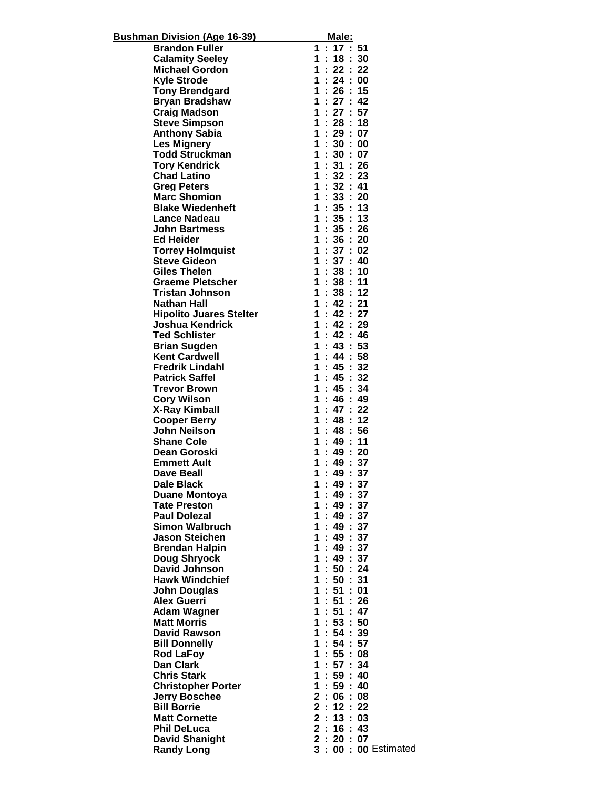| <b>Bushman Division (Age 16-39)</b> | <u>Male:</u>                    |
|-------------------------------------|---------------------------------|
| <b>Brandon Fuller</b>               | 1:17:51                         |
| <b>Calamity Seeley</b>              | 1:18:30                         |
| <b>Michael Gordon</b>               | 1:22:22                         |
| <b>Kyle Strode</b>                  | 1:24:00                         |
| <b>Tony Brendgard</b>               | 1:26:15                         |
| <b>Bryan Bradshaw</b>               | 1:27:42                         |
| <b>Craig Madson</b>                 | 1:27:57                         |
| <b>Steve Simpson</b>                | 1:28:18                         |
| <b>Anthony Sabia</b>                | 1:29:07                         |
| <b>Les Mignery</b>                  | 1:30:00                         |
| <b>Todd Struckman</b>               | 1:30:07                         |
| <b>Tory Kendrick</b>                | 1:31:26                         |
| <b>Chad Latino</b>                  | 1:32:23                         |
| <b>Greg Peters</b>                  | 1:32:41                         |
| <b>Marc Shomion</b>                 | 1:33:20                         |
| <b>Blake Wiedenheft</b>             | 1:35:13                         |
| <b>Lance Nadeau</b>                 | 1:35:13                         |
| <b>John Bartmess</b>                | 1:35:26                         |
| <b>Ed Heider</b>                    | 1:36:20                         |
| <b>Torrey Holmquist</b>             | 1:37:02                         |
| <b>Steve Gideon</b>                 | 1:37:40                         |
| <b>Giles Thelen</b>                 | 1:38:10                         |
| Graeme Pletscher                    | 1:38:11                         |
| Tristan Johnson                     | 1:38:12                         |
| Nathan Hall                         | 1:42:21                         |
| <b>Hipolito Juares Stelter</b>      | 1:42:27                         |
| Joshua Kendrick                     | 1:42:29                         |
| <b>Ted Schlister</b>                | 1:42:46                         |
| <b>Brian Sugden</b>                 | 1:43:53                         |
| <b>Kent Cardwell</b>                | 1:44:58                         |
| <b>Fredrik Lindahl</b>              | 1:45:32                         |
| <b>Patrick Saffel</b>               | 1:45:32                         |
| <b>Trevor Brown</b>                 | 1:45:34                         |
| <b>Cory Wilson</b>                  | 1:46:49                         |
| <b>X-Ray Kimball</b>                | 1:47:22                         |
| <b>Cooper Berry</b>                 | 1:48:12                         |
| <b>John Neilson</b>                 | 1:48:56                         |
| <b>Shane Cole</b>                   | 1:49:11                         |
| Dean Goroski                        | 1:49:20                         |
| <b>Emmett Ault</b>                  | : 49 : 37<br>1                  |
| Dave Beall                          | 1<br>t<br>49<br>$\therefore$ 37 |
| <b>Dale Black</b>                   | 49:37<br>÷.<br>1                |
| <b>Duane Montoya</b>                | 49:37<br>1.                     |
| <b>Tate Preston</b>                 | 1:49:37                         |
| <b>Paul Dolezal</b>                 | 1:49:37                         |
| <b>Simon Walbruch</b>               | 1:49:37                         |
| <b>Jason Steichen</b>               | : 49:37<br>1                    |
| <b>Brendan Halpin</b>               | 49:37<br>1                      |
| <b>Doug Shryock</b>                 | : 49:37<br>1                    |
| <b>David Johnson</b>                | 1:50:24                         |
| <b>Hawk Windchief</b>               | 1:50:31                         |
| <b>John Douglas</b>                 | 1:51:01                         |
| <b>Alex Guerri</b>                  | 1:51:26                         |
| <b>Adam Wagner</b>                  | 1:51:47                         |
| <b>Matt Morris</b>                  | 1:53:50                         |
| <b>David Rawson</b>                 | 1:54:39                         |
| <b>Bill Donnelly</b>                | 1:54:57                         |
| <b>Rod LaFoy</b>                    | 1<br>: 55 : 08                  |
| Dan Clark                           | 1:57:34                         |
| <b>Chris Stark</b>                  | 1:59:40                         |
| <b>Christopher Porter</b>           | 1<br>: 59 : 40                  |
| <b>Jerry Boschee</b>                | 2:06:08                         |
| <b>Bill Borrie</b>                  | 2:12:22                         |
| <b>Matt Cornette</b>                | 2:13:03                         |
| <b>Phil DeLuca</b>                  | 2:16:43                         |
| <b>David Shanight</b>               | $\mathbf 2$<br>20:07            |
| <b>Randy Long</b>                   | 3:<br>00: 00 Estimated          |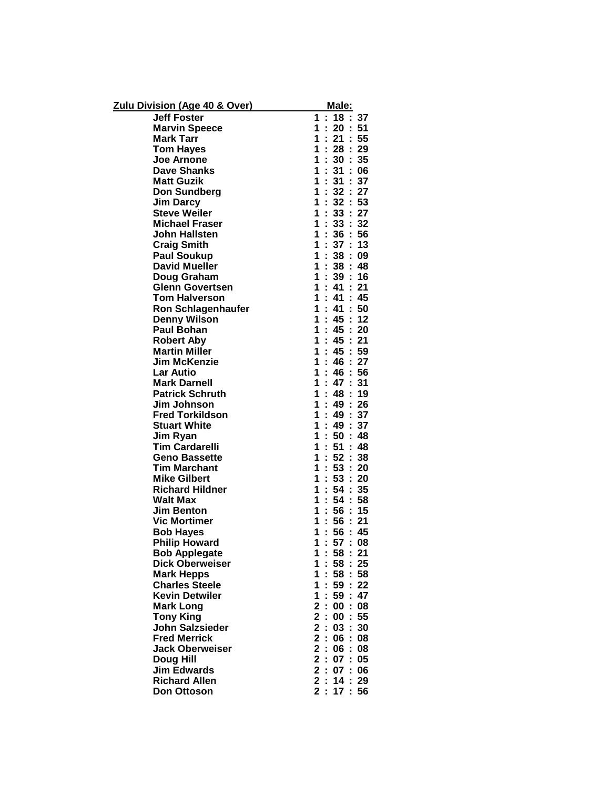| <b>Zulu Division (Age 40 &amp; Over)</b> | Male:                                                    |
|------------------------------------------|----------------------------------------------------------|
| <b>Jeff Foster</b>                       | : 18 : 37<br>$\mathbf 1$                                 |
| <b>Marvin Speece</b>                     | ř,<br>20:51<br>1                                         |
| <b>Mark Tarr</b>                         | ř,<br>21:55<br>$\mathbf 1$                               |
| <b>Tom Hayes</b>                         | 28:29<br>1<br>÷.                                         |
| <b>Joe Arnone</b>                        | $\mathbf 1$<br>30 : 35                                   |
| <b>Dave Shanks</b>                       | 1<br>ř,<br>31:06                                         |
| <b>Matt Guzik</b>                        | ł.<br>31:37<br>1                                         |
| <b>Don Sundberg</b>                      | 1<br>32:27<br>÷.                                         |
| <b>Jim Darcy</b>                         | $\mathbf 1$<br>÷.<br>32:53                               |
| <b>Steve Weiler</b>                      | 1<br>33:27<br>Ì,                                         |
| <b>Michael Fraser</b>                    | ŀ<br>1<br>33:32                                          |
| <b>John Hallsten</b>                     | ł,<br>1<br>36:56                                         |
| <b>Craig Smith</b>                       | 37:13<br>1<br>÷.                                         |
| <b>Paul Soukup</b>                       | 1<br>38:09                                               |
| <b>David Mueller</b>                     | ċ,<br>38:48<br>1                                         |
| Doug Graham                              | ċ,<br>1<br>39:16                                         |
| <b>Glenn Govertsen</b>                   | 41 : 21<br>1<br>÷.                                       |
| <b>Tom Halverson</b>                     | 1<br>41 : 45<br>÷.                                       |
| <b>Ron Schlagenhaufer</b>                | 1<br>41 : 50<br>t,                                       |
| <b>Denny Wilson</b>                      | 45:12<br>1<br>Ì                                          |
| <b>Paul Bohan</b>                        | 45 : 20<br>ř,<br>1                                       |
| <b>Robert Aby</b>                        | 1<br>÷.<br>45:21                                         |
| <b>Martin Miller</b>                     | 45 : 59<br>1<br>t                                        |
| <b>Jim McKenzie</b>                      | 46 : 27<br>1<br>t,                                       |
| <b>Lar Autio</b>                         | ř,<br>46:56<br>1                                         |
| <b>Mark Darnell</b>                      | 47:31<br>1<br>÷.                                         |
| <b>Patrick Schruth</b>                   | 1<br>÷.<br>48:19                                         |
| Jim Johnson                              | 1<br>49 : 26<br>Ì,                                       |
| <b>Fred Torkildson</b>                   | 1<br>Ì<br>49:37                                          |
| <b>Stuart White</b>                      | ř,<br>49:37<br>1                                         |
| Jim Ryan                                 | 1<br>÷.<br>50:<br>48                                     |
| <b>Tim Cardarelli</b>                    | 1<br>Ì,<br>51:48                                         |
| <b>Geno Bassette</b>                     | 1<br>52:38                                               |
| <b>Tim Marchant</b>                      | ř,<br>1<br>53:20                                         |
| <b>Mike Gilbert</b>                      | 1<br>÷.<br>53:20                                         |
| <b>Richard Hildner</b>                   | 1<br>ċ<br>54 : 35                                        |
| <b>Walt Max</b>                          | 1<br>54:58<br>t                                          |
| <b>Jim Benton</b>                        | ř,<br>56:15<br>1                                         |
| <b>Vic Mortimer</b>                      | ř,<br>56:21<br>1                                         |
| <b>Bob Hayes</b>                         | ÷.<br>1<br>56:45                                         |
| <b>Philip Howard</b>                     | 1<br>Ì<br>57<br>$\mathcal{L}_{\mathcal{A}}$<br>08        |
| <b>Bob Applegate</b>                     | 58:<br>21<br>1                                           |
| <b>Dick Oberweiser</b>                   | Ì.<br>58:<br>25<br>1                                     |
| <b>Mark Hepps</b>                        | 58:58<br>1<br>÷.                                         |
| <b>Charles Steele</b>                    | 59:22<br>1<br>t                                          |
| <b>Kevin Detwiler</b>                    | 47<br>1<br>59:                                           |
| <b>Mark Long</b>                         | $\mathbf 2$<br>t.<br>00:08                               |
| <b>Tony King</b>                         | $\overline{\mathbf{2}}$<br>$\ddot{\phantom{a}}$<br>00:55 |
| <b>John Salzsieder</b>                   | $\overline{\mathbf{2}}$<br>03:30<br>÷.                   |
| <b>Fred Merrick</b>                      | 2<br>06:08<br>$\mathbb{Z}^+$                             |
| <b>Jack Oberweiser</b>                   | $\overline{\mathbf{2}}$<br>: 06 : 08                     |
| Doug Hill                                | 2:07:05                                                  |
| <b>Jim Edwards</b>                       | 2:<br>07:06                                              |
| <b>Richard Allen</b>                     | 2<br>$\mathcal{L}$<br>14:29                              |
| <b>Don Ottoson</b>                       | 2:<br>17:<br>56                                          |
|                                          |                                                          |